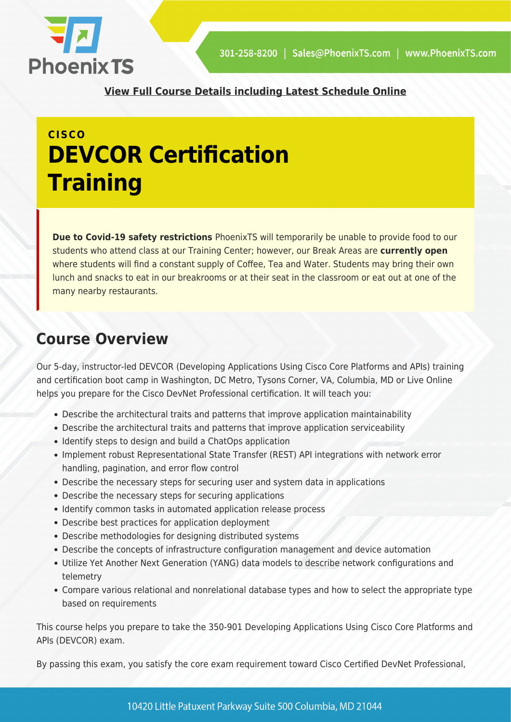

**[View Full Course Details including Latest Schedule Online](https://phoenixts.com/training-courses/10360-2/)**

# **CISCO DEVCOR Certification Training**

**Due to Covid-19 safety restrictions** PhoenixTS will temporarily be unable to provide food to our students who attend class at our Training Center; however, our Break Areas are **currently open** where students will find a constant supply of Coffee, Tea and Water. Students may bring their own lunch and snacks to eat in our breakrooms or at their seat in the classroom or eat out at one of the many nearby restaurants.

## **Course Overview**

Our 5-day, instructor-led DEVCOR (Developing Applications Using Cisco Core Platforms and APIs) training and certification boot camp in Washington, DC Metro, Tysons Corner, VA, Columbia, MD or Live Online helps you prepare for the Cisco DevNet Professional certification. It will teach you:

- Describe the architectural traits and patterns that improve application maintainability
- Describe the architectural traits and patterns that improve application serviceability
- Identify steps to design and build a ChatOps application
- Implement robust Representational State Transfer (REST) API integrations with network error handling, pagination, and error flow control
- Describe the necessary steps for securing user and system data in applications
- Describe the necessary steps for securing applications
- Identify common tasks in automated application release process
- Describe best practices for application deployment
- Describe methodologies for designing distributed systems
- Describe the concepts of infrastructure configuration management and device automation
- Utilize Yet Another Next Generation (YANG) data models to describe network configurations and telemetry
- Compare various relational and nonrelational database types and how to select the appropriate type based on requirements

This course helps you prepare to take the 350-901 Developing Applications Using Cisco Core Platforms and APIs (DEVCOR) exam.

By passing this exam, you satisfy the core exam requirement toward Cisco Certified DevNet Professional,

10420 Little Patuxent Parkway Suite 500 Columbia, MD 21044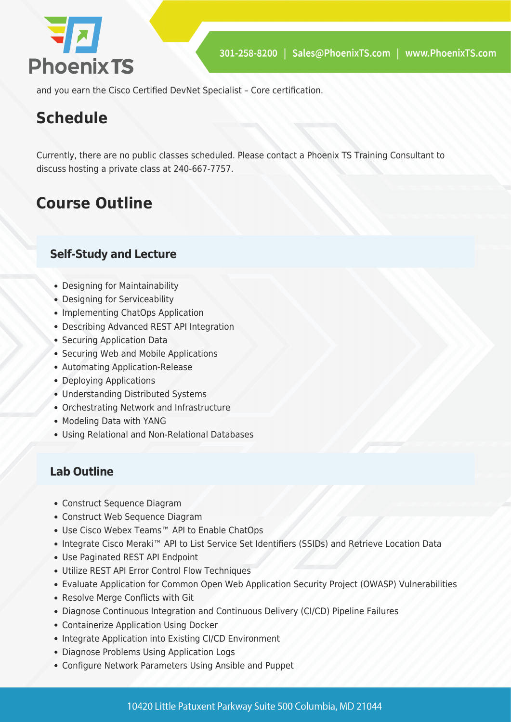

and you earn the Cisco Certified DevNet Specialist – Core certification.

## **Schedule**

Currently, there are no public classes scheduled. Please contact a Phoenix TS Training Consultant to discuss hosting a private class at 240-667-7757.

## **Course Outline**

### **Self-Study and Lecture**

- Designing for Maintainability
- Designing for Serviceability
- Implementing ChatOps Application
- Describing Advanced REST API Integration
- Securing Application Data
- Securing Web and Mobile Applications
- Automating Application-Release
- Deploying Applications
- Understanding Distributed Systems
- Orchestrating Network and Infrastructure
- Modeling Data with YANG
- Using Relational and Non-Relational Databases

#### **Lab Outline**

- Construct Sequence Diagram
- Construct Web Sequence Diagram
- Use Cisco Webex Teams™ API to Enable ChatOps
- Integrate Cisco Meraki™ API to List Service Set Identifiers (SSIDs) and Retrieve Location Data
- Use Paginated REST API Endpoint
- Utilize REST API Error Control Flow Techniques
- Evaluate Application for Common Open Web Application Security Project (OWASP) Vulnerabilities
- Resolve Merge Conflicts with Git
- Diagnose Continuous Integration and Continuous Delivery (CI/CD) Pipeline Failures
- Containerize Application Using Docker
- Integrate Application into Existing CI/CD Environment
- Diagnose Problems Using Application Logs
- Configure Network Parameters Using Ansible and Puppet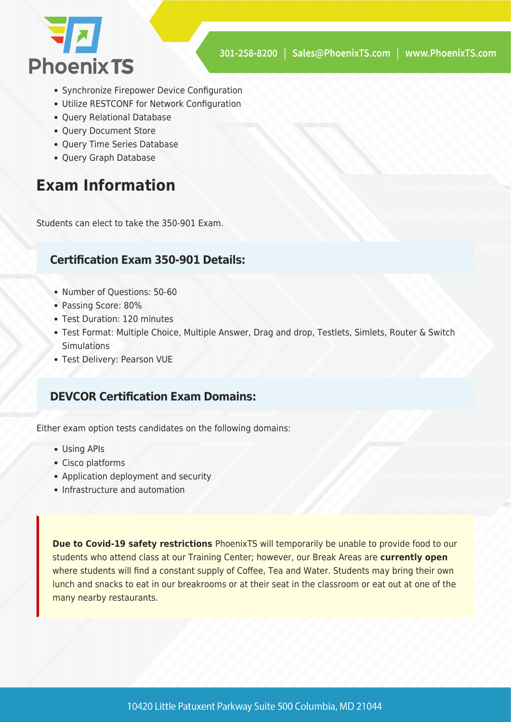

- Synchronize Firepower Device Configuration
- Utilize RESTCONF for Network Configuration
- Query Relational Database
- Ouery Document Store
- Query Time Series Database
- Query Graph Database

## **Exam Information**

Students can elect to take the 350-901 Exam.

#### **Certification Exam 350-901 Details:**

- Number of Questions: 50-60
- Passing Score: 80%
- Test Duration: 120 minutes
- Test Format: Multiple Choice, Multiple Answer, Drag and drop, Testlets, Simlets, Router & Switch **Simulations**
- Test Delivery: Pearson VUE

#### **DEVCOR Certification Exam Domains:**

Either exam option tests candidates on the following domains:

- Using APIs
- Cisco platforms
- Application deployment and security
- Infrastructure and automation

**Due to Covid-19 safety restrictions** PhoenixTS will temporarily be unable to provide food to our students who attend class at our Training Center; however, our Break Areas are **currently open** where students will find a constant supply of Coffee, Tea and Water. Students may bring their own lunch and snacks to eat in our breakrooms or at their seat in the classroom or eat out at one of the many nearby restaurants.